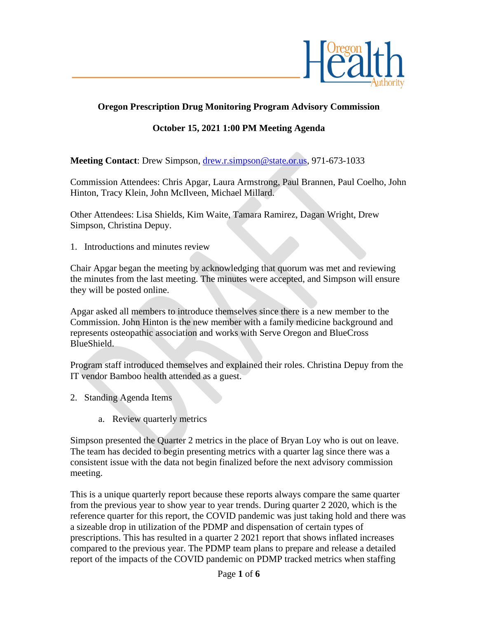

## **Oregon Prescription Drug Monitoring Program Advisory Commission**

## **October 15, 2021 1:00 PM Meeting Agenda**

**Meeting Contact**: Drew Simpson, [drew.r.simpson@state.or.us,](mailto:drew.r.simpson@state.or.us) 971-673-1033

Commission Attendees: Chris Apgar, Laura Armstrong, Paul Brannen, Paul Coelho, John Hinton, Tracy Klein, John McIlveen, Michael Millard.

Other Attendees: Lisa Shields, Kim Waite, Tamara Ramirez, Dagan Wright, Drew Simpson, Christina Depuy.

1. Introductions and minutes review

Chair Apgar began the meeting by acknowledging that quorum was met and reviewing the minutes from the last meeting. The minutes were accepted, and Simpson will ensure they will be posted online.

Apgar asked all members to introduce themselves since there is a new member to the Commission. John Hinton is the new member with a family medicine background and represents osteopathic association and works with Serve Oregon and BlueCross BlueShield.

Program staff introduced themselves and explained their roles. Christina Depuy from the IT vendor Bamboo health attended as a guest.

- 2. Standing Agenda Items
	- a. Review quarterly metrics

Simpson presented the Quarter 2 metrics in the place of Bryan Loy who is out on leave. The team has decided to begin presenting metrics with a quarter lag since there was a consistent issue with the data not begin finalized before the next advisory commission meeting.

This is a unique quarterly report because these reports always compare the same quarter from the previous year to show year to year trends. During quarter 2 2020, which is the reference quarter for this report, the COVID pandemic was just taking hold and there was a sizeable drop in utilization of the PDMP and dispensation of certain types of prescriptions. This has resulted in a quarter 2 2021 report that shows inflated increases compared to the previous year. The PDMP team plans to prepare and release a detailed report of the impacts of the COVID pandemic on PDMP tracked metrics when staffing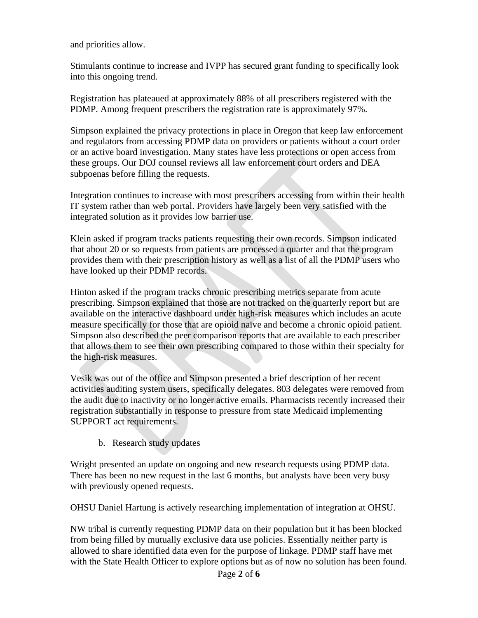and priorities allow.

Stimulants continue to increase and IVPP has secured grant funding to specifically look into this ongoing trend.

Registration has plateaued at approximately 88% of all prescribers registered with the PDMP. Among frequent prescribers the registration rate is approximately 97%.

Simpson explained the privacy protections in place in Oregon that keep law enforcement and regulators from accessing PDMP data on providers or patients without a court order or an active board investigation. Many states have less protections or open access from these groups. Our DOJ counsel reviews all law enforcement court orders and DEA subpoenas before filling the requests.

Integration continues to increase with most prescribers accessing from within their health IT system rather than web portal. Providers have largely been very satisfied with the integrated solution as it provides low barrier use.

Klein asked if program tracks patients requesting their own records. Simpson indicated that about 20 or so requests from patients are processed a quarter and that the program provides them with their prescription history as well as a list of all the PDMP users who have looked up their PDMP records.

Hinton asked if the program tracks chronic prescribing metrics separate from acute prescribing. Simpson explained that those are not tracked on the quarterly report but are available on the interactive dashboard under high-risk measures which includes an acute measure specifically for those that are opioid naïve and become a chronic opioid patient. Simpson also described the peer comparison reports that are available to each prescriber that allows them to see their own prescribing compared to those within their specialty for the high-risk measures.

Vesik was out of the office and Simpson presented a brief description of her recent activities auditing system users, specifically delegates. 803 delegates were removed from the audit due to inactivity or no longer active emails. Pharmacists recently increased their registration substantially in response to pressure from state Medicaid implementing SUPPORT act requirements.

b. Research study updates

Wright presented an update on ongoing and new research requests using PDMP data. There has been no new request in the last 6 months, but analysts have been very busy with previously opened requests.

OHSU Daniel Hartung is actively researching implementation of integration at OHSU.

NW tribal is currently requesting PDMP data on their population but it has been blocked from being filled by mutually exclusive data use policies. Essentially neither party is allowed to share identified data even for the purpose of linkage. PDMP staff have met with the State Health Officer to explore options but as of now no solution has been found.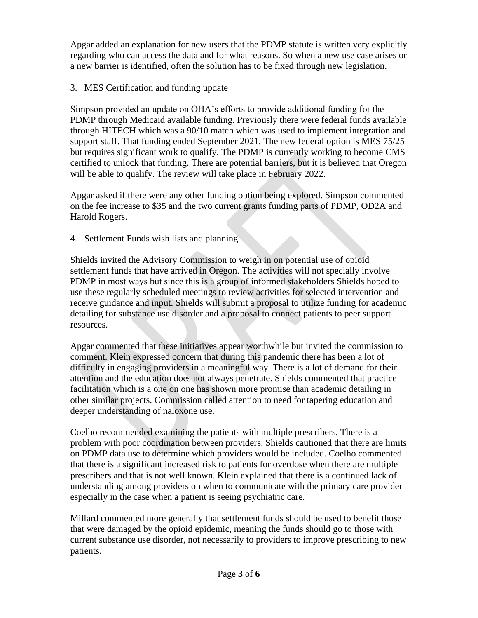Apgar added an explanation for new users that the PDMP statute is written very explicitly regarding who can access the data and for what reasons. So when a new use case arises or a new barrier is identified, often the solution has to be fixed through new legislation.

## 3. MES Certification and funding update

Simpson provided an update on OHA's efforts to provide additional funding for the PDMP through Medicaid available funding. Previously there were federal funds available through HITECH which was a 90/10 match which was used to implement integration and support staff. That funding ended September 2021. The new federal option is MES 75/25 but requires significant work to qualify. The PDMP is currently working to become CMS certified to unlock that funding. There are potential barriers, but it is believed that Oregon will be able to qualify. The review will take place in February 2022.

Apgar asked if there were any other funding option being explored. Simpson commented on the fee increase to \$35 and the two current grants funding parts of PDMP, OD2A and Harold Rogers.

4. Settlement Funds wish lists and planning

Shields invited the Advisory Commission to weigh in on potential use of opioid settlement funds that have arrived in Oregon. The activities will not specially involve PDMP in most ways but since this is a group of informed stakeholders Shields hoped to use these regularly scheduled meetings to review activities for selected intervention and receive guidance and input. Shields will submit a proposal to utilize funding for academic detailing for substance use disorder and a proposal to connect patients to peer support resources.

Apgar commented that these initiatives appear worthwhile but invited the commission to comment. Klein expressed concern that during this pandemic there has been a lot of difficulty in engaging providers in a meaningful way. There is a lot of demand for their attention and the education does not always penetrate. Shields commented that practice facilitation which is a one on one has shown more promise than academic detailing in other similar projects. Commission called attention to need for tapering education and deeper understanding of naloxone use.

Coelho recommended examining the patients with multiple prescribers. There is a problem with poor coordination between providers. Shields cautioned that there are limits on PDMP data use to determine which providers would be included. Coelho commented that there is a significant increased risk to patients for overdose when there are multiple prescribers and that is not well known. Klein explained that there is a continued lack of understanding among providers on when to communicate with the primary care provider especially in the case when a patient is seeing psychiatric care.

Millard commented more generally that settlement funds should be used to benefit those that were damaged by the opioid epidemic, meaning the funds should go to those with current substance use disorder, not necessarily to providers to improve prescribing to new patients.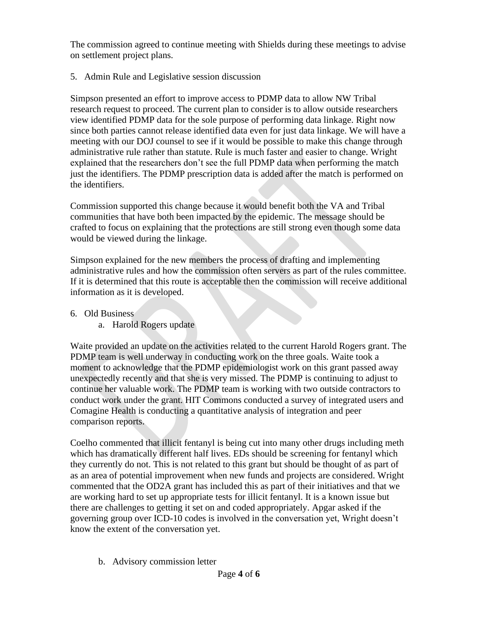The commission agreed to continue meeting with Shields during these meetings to advise on settlement project plans.

5. Admin Rule and Legislative session discussion

Simpson presented an effort to improve access to PDMP data to allow NW Tribal research request to proceed. The current plan to consider is to allow outside researchers view identified PDMP data for the sole purpose of performing data linkage. Right now since both parties cannot release identified data even for just data linkage. We will have a meeting with our DOJ counsel to see if it would be possible to make this change through administrative rule rather than statute. Rule is much faster and easier to change. Wright explained that the researchers don't see the full PDMP data when performing the match just the identifiers. The PDMP prescription data is added after the match is performed on the identifiers.

Commission supported this change because it would benefit both the VA and Tribal communities that have both been impacted by the epidemic. The message should be crafted to focus on explaining that the protections are still strong even though some data would be viewed during the linkage.

Simpson explained for the new members the process of drafting and implementing administrative rules and how the commission often servers as part of the rules committee. If it is determined that this route is acceptable then the commission will receive additional information as it is developed.

- 6. Old Business
	- a. Harold Rogers update

Waite provided an update on the activities related to the current Harold Rogers grant. The PDMP team is well underway in conducting work on the three goals. Waite took a moment to acknowledge that the PDMP epidemiologist work on this grant passed away unexpectedly recently and that she is very missed. The PDMP is continuing to adjust to continue her valuable work. The PDMP team is working with two outside contractors to conduct work under the grant. HIT Commons conducted a survey of integrated users and Comagine Health is conducting a quantitative analysis of integration and peer comparison reports.

Coelho commented that illicit fentanyl is being cut into many other drugs including meth which has dramatically different half lives. EDs should be screening for fentanyl which they currently do not. This is not related to this grant but should be thought of as part of as an area of potential improvement when new funds and projects are considered. Wright commented that the OD2A grant has included this as part of their initiatives and that we are working hard to set up appropriate tests for illicit fentanyl. It is a known issue but there are challenges to getting it set on and coded appropriately. Apgar asked if the governing group over ICD-10 codes is involved in the conversation yet, Wright doesn't know the extent of the conversation yet.

b. Advisory commission letter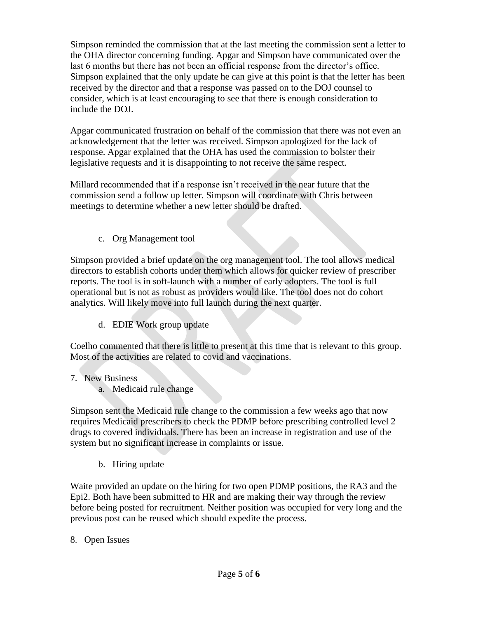Simpson reminded the commission that at the last meeting the commission sent a letter to the OHA director concerning funding. Apgar and Simpson have communicated over the last 6 months but there has not been an official response from the director's office. Simpson explained that the only update he can give at this point is that the letter has been received by the director and that a response was passed on to the DOJ counsel to consider, which is at least encouraging to see that there is enough consideration to include the DOJ.

Apgar communicated frustration on behalf of the commission that there was not even an acknowledgement that the letter was received. Simpson apologized for the lack of response. Apgar explained that the OHA has used the commission to bolster their legislative requests and it is disappointing to not receive the same respect.

Millard recommended that if a response isn't received in the near future that the commission send a follow up letter. Simpson will coordinate with Chris between meetings to determine whether a new letter should be drafted.

c. Org Management tool

Simpson provided a brief update on the org management tool. The tool allows medical directors to establish cohorts under them which allows for quicker review of prescriber reports. The tool is in soft-launch with a number of early adopters. The tool is full operational but is not as robust as providers would like. The tool does not do cohort analytics. Will likely move into full launch during the next quarter.

d. EDIE Work group update

Coelho commented that there is little to present at this time that is relevant to this group. Most of the activities are related to covid and vaccinations.

- 7. New Business
	- a. Medicaid rule change

Simpson sent the Medicaid rule change to the commission a few weeks ago that now requires Medicaid prescribers to check the PDMP before prescribing controlled level 2 drugs to covered individuals. There has been an increase in registration and use of the system but no significant increase in complaints or issue.

b. Hiring update

Waite provided an update on the hiring for two open PDMP positions, the RA3 and the Epi2. Both have been submitted to HR and are making their way through the review before being posted for recruitment. Neither position was occupied for very long and the previous post can be reused which should expedite the process.

8. Open Issues